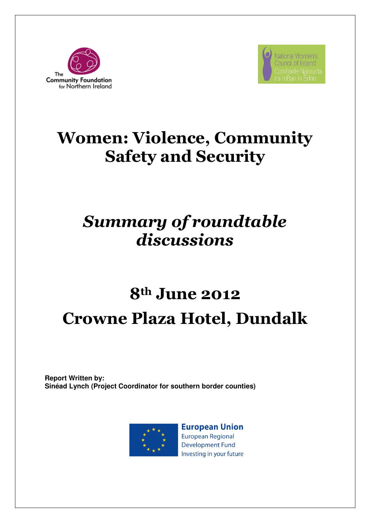



## Women: Violence, Community Safety and Security

### Summary of roundtable discussions

# 8th June 2012 Crowne Plaza Hotel, Dundalk

**Report Written by: Sinéad Lynch (Project Coordinator for southern border counties)** 



**European Union European Regional Development Fund** Investing in your future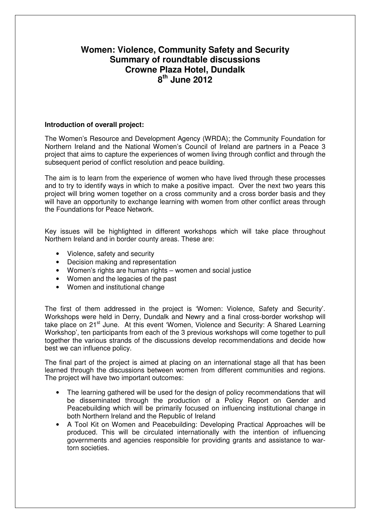### **Women: Violence, Community Safety and Security Summary of roundtable discussions Crowne Plaza Hotel, Dundalk 8 th June 2012**

#### **Introduction of overall project:**

The Women's Resource and Development Agency (WRDA); the Community Foundation for Northern Ireland and the National Women's Council of Ireland are partners in a Peace 3 project that aims to capture the experiences of women living through conflict and through the subsequent period of conflict resolution and peace building.

The aim is to learn from the experience of women who have lived through these processes and to try to identify ways in which to make a positive impact. Over the next two years this project will bring women together on a cross community and a cross border basis and they will have an opportunity to exchange learning with women from other conflict areas through the Foundations for Peace Network.

Key issues will be highlighted in different workshops which will take place throughout Northern Ireland and in border county areas. These are:

- Violence, safety and security
- Decision making and representation
- Women's rights are human rights women and social justice
- Women and the legacies of the past
- Women and institutional change

The first of them addressed in the project is 'Women: Violence, Safety and Security'. Workshops were held in Derry, Dundalk and Newry and a final cross-border workshop will take place on 21<sup>st</sup> June. At this event 'Women, Violence and Security: A Shared Learning Workshop', ten participants from each of the 3 previous workshops will come together to pull together the various strands of the discussions develop recommendations and decide how best we can influence policy.

The final part of the project is aimed at placing on an international stage all that has been learned through the discussions between women from different communities and regions. The project will have two important outcomes:

- The learning gathered will be used for the design of policy recommendations that will be disseminated through the production of a Policy Report on Gender and Peacebuilding which will be primarily focused on influencing institutional change in both Northern Ireland and the Republic of Ireland
- A Tool Kit on Women and Peacebuilding: Developing Practical Approaches will be produced. This will be circulated internationally with the intention of influencing governments and agencies responsible for providing grants and assistance to wartorn societies.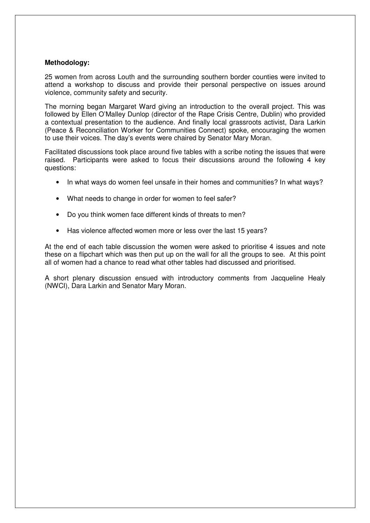#### **Methodology:**

25 women from across Louth and the surrounding southern border counties were invited to attend a workshop to discuss and provide their personal perspective on issues around violence, community safety and security.

The morning began Margaret Ward giving an introduction to the overall project. This was followed by Ellen O'Malley Dunlop (director of the Rape Crisis Centre, Dublin) who provided a contextual presentation to the audience. And finally local grassroots activist, Dara Larkin (Peace & Reconciliation Worker for Communities Connect) spoke, encouraging the women to use their voices. The day's events were chaired by Senator Mary Moran.

Facilitated discussions took place around five tables with a scribe noting the issues that were raised. Participants were asked to focus their discussions around the following 4 key questions:

- In what ways do women feel unsafe in their homes and communities? In what ways?
- What needs to change in order for women to feel safer?
- Do you think women face different kinds of threats to men?
- Has violence affected women more or less over the last 15 years?

At the end of each table discussion the women were asked to prioritise 4 issues and note these on a flipchart which was then put up on the wall for all the groups to see. At this point all of women had a chance to read what other tables had discussed and prioritised.

A short plenary discussion ensued with introductory comments from Jacqueline Healy (NWCI), Dara Larkin and Senator Mary Moran.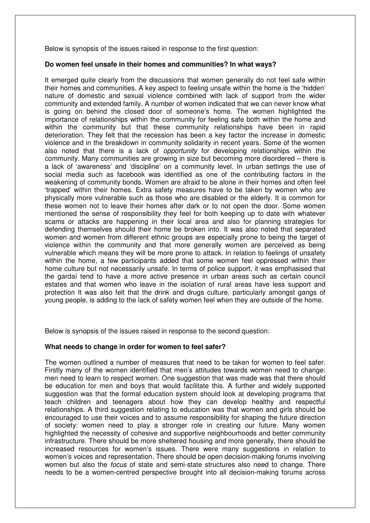Below is synopsis of the issues raised in response to the first question:

#### **Do women feel unsafe in their homes and communities? In what ways?**

It emerged quite clearly from the discussions that women generally do not feel safe within their homes and communities. A key aspect to feeling unsafe within the home is the 'hidden' nature of domestic and sexual violence combined with lack of support from the wider community and extended family. A number of women indicated that we can never know what is going on behind the closed door of someone's home. The women highlighted the importance of relationships within the community for feeling safe both within the home and within the community but that these community relationships have been in rapid deterioration. They felt that the recession has been a key factor the increase in domestic violence and in the breakdown in community solidarity in recent years. Some of the women also noted that there is a lack of opportunity for developing relationships within the community. Many communities are growing in size but becoming more disordered – there is a lack of 'awareness' and 'discipline' on a community level. In urban settings the use of social media such as facebook was identified as one of the contributing factors in the weakening of community bonds. Women are afraid to be alone in their homes and often feel 'trapped' within their homes. Extra safety measures have to be taken by women who are physically more vulnerable such as those who are disabled or the elderly. It is common for these women not to leave their homes after dark or to not open the door. Some women mentioned the sense of responsibility they feel for both keeping up to date with whatever scams or attacks are happening in their local area and also for planning strategies for defending themselves should their home be broken into. It was also noted that separated women and women from different ethnic groups are especially prone to being the target of violence within the community and that more generally women are perceived as being vulnerable which means they will be more prone to attack. In relation to feelings of unsafety within the home, a few participants added that some women feel oppressed within their home culture but not necessarily unsafe. In terms of police support, it was emphasised that the gardaí tend to have a more active presence in urban areas such as certain council estates and that women who leave in the isolation of rural areas have less support and protection It was also felt that the drink and drugs culture, particularly amongst gangs of young people, is adding to the lack of safety women feel when they are outside of the home.

Below is synopsis of the issues raised in response to the second question:

#### **What needs to change in order for women to feel safer?**

The women outlined a number of measures that need to be taken for women to feel safer. Firstly many of the women identified that men's attitudes towards women need to change: men need to learn to respect women. One suggestion that was made was that there should be education for men and boys that would facilitate this. A further and widely supported suggestion was that the formal education system should look at developing programs that teach children and teenagers about how they can develop healthy and respectful relationships. A third suggestion relating to education was that women and girls should be encouraged to use their voices and to assume responsibility for shaping the future direction of society: women need to play a stronger role in creating our future. Many women highlighted the necessity of cohesive and supportive neighbourhoods and better community infrastructure. There should be more sheltered housing and more generally, there should be increased resources for women's issues. There were many suggestions in relation to women's voices and representation. There should be open decision-making forums involving women but also the *focus* of state and semi-state structures also need to change. There needs to be a women-centred perspective brought into all decision-making forums across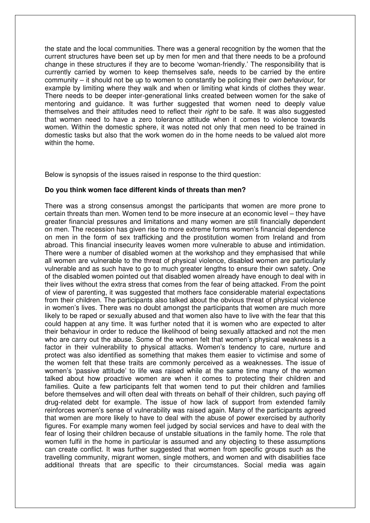the state and the local communities. There was a general recognition by the women that the current structures have been set up by men for men and that there needs to be a profound change in these structures if they are to become 'woman-friendly.' The responsibility that is currently carried by women to keep themselves safe, needs to be carried by the entire community – it should not be up to women to constantly be policing their own behaviour, for example by limiting where they walk and when or limiting what kinds of clothes they wear. There needs to be deeper inter-generational links created between women for the sake of mentoring and guidance. It was further suggested that women need to deeply value themselves and their attitudes need to reflect their right to be safe. It was also suggested that women need to have a zero tolerance attitude when it comes to violence towards women. Within the domestic sphere, it was noted not only that men need to be trained in domestic tasks but also that the work women do in the home needs to be valued alot more within the home.

Below is synopsis of the issues raised in response to the third question:

#### **Do you think women face different kinds of threats than men?**

There was a strong consensus amongst the participants that women are more prone to certain threats than men. Women tend to be more insecure at an economic level – they have greater financial pressures and limitations and many women are still financially dependent on men. The recession has given rise to more extreme forms women's financial dependence on men in the form of sex trafficking and the prostitution women from Ireland and from abroad. This financial insecurity leaves women more vulnerable to abuse and intimidation. There were a number of disabled women at the workshop and they emphasised that while all women are vulnerable to the threat of physical violence, disabled women are particularly vulnerable and as such have to go to much greater lengths to ensure their own safety. One of the disabled women pointed out that disabled women already have enough to deal with in their lives without the extra stress that comes from the fear of being attacked. From the point of view of parenting, it was suggested that mothers face considerable material expectations from their children. The participants also talked about the obvious threat of physical violence in women's lives. There was no doubt amongst the participants that women are much more likely to be raped or sexually abused and that women also have to live with the fear that this could happen at any time. It was further noted that it is women who are expected to alter their behaviour in order to reduce the likelihood of being sexually attacked and not the men who are carry out the abuse. Some of the women felt that women's physical weakness is a factor in their vulnerability to physical attacks. Women's tendency to care, nurture and protect was also identified as something that makes them easier to victimise and some of the women felt that these traits are commonly perceived as a weaknesses. The issue of women's 'passive attitude' to life was raised while at the same time many of the women talked about how proactive women are when it comes to protecting their children and families. Quite a few participants felt that women tend to put their children and families before themselves and will often deal with threats on behalf of their children, such paying off drug-related debt for example. The issue of how lack of support from extended family reinforces women's sense of vulnerability was raised again. Many of the participants agreed that women are more likely to have to deal with the abuse of power exercised by authority figures. For example many women feel judged by social services and have to deal with the fear of losing their children because of unstable situations in the family home. The role that women fulfil in the home in particular is assumed and any objecting to these assumptions can create conflict. It was further suggested that women from specific groups such as the travelling community, migrant women, single mothers, and women and with disabilities face additional threats that are specific to their circumstances. Social media was again